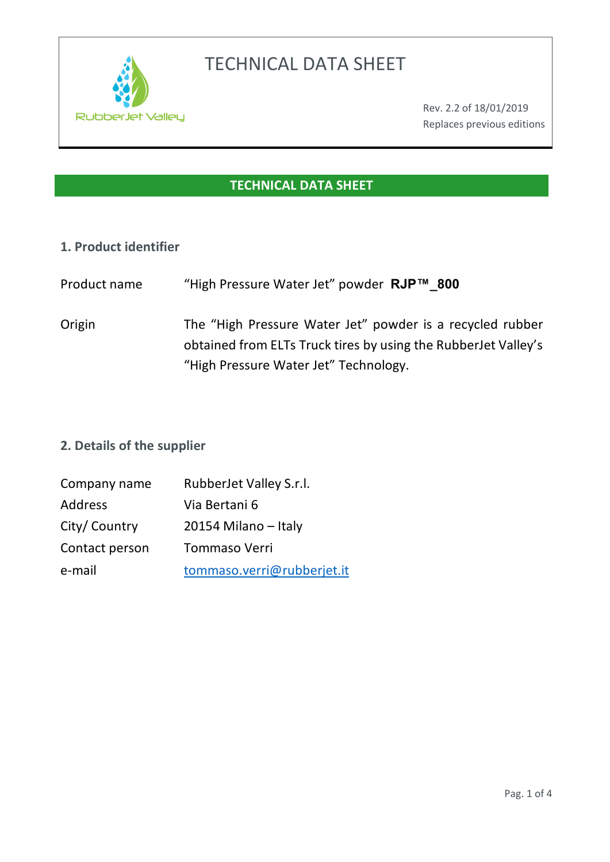

# TECHNICAL DATA SHEET

# **TECHNICAL DATA SHEET**

#### **1. Product identifier**

- Product name "High Pressure Water Jet" powder **RJP™\_800**
- Origin The "High Pressure Water Jet" powder is a recycled rubber obtained from ELTs Truck tires by using the RubberJet Valley's "High Pressure Water Jet" Technology.

## **2. Details of the supplier**

| Company name   | RubberJet Valley S.r.l.    |
|----------------|----------------------------|
| <b>Address</b> | Via Bertani 6              |
| City/ Country  | 20154 Milano - Italy       |
| Contact person | <b>Tommaso Verri</b>       |
| e-mail         | tommaso.verri@rubberjet.it |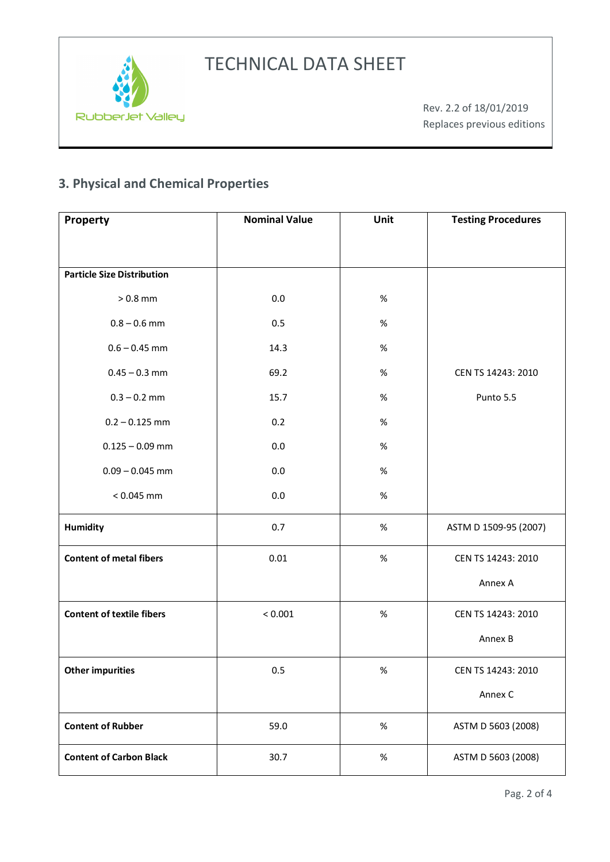



# **3. Physical and Chemical Properties**

| Property                          | <b>Nominal Value</b> | Unit | <b>Testing Procedures</b> |
|-----------------------------------|----------------------|------|---------------------------|
|                                   |                      |      |                           |
| <b>Particle Size Distribution</b> |                      |      |                           |
|                                   |                      |      |                           |
| $>0.8$ mm                         | 0.0                  | $\%$ |                           |
| $0.8 - 0.6$ mm                    | 0.5                  | $\%$ |                           |
| $0.6 - 0.45$ mm                   | 14.3                 | $\%$ |                           |
| $0.45 - 0.3$ mm                   | 69.2                 | $\%$ | CEN TS 14243: 2010        |
| $0.3 - 0.2$ mm                    | 15.7                 | $\%$ | Punto 5.5                 |
| $0.2 - 0.125$ mm                  | 0.2                  | $\%$ |                           |
| $0.125 - 0.09$ mm                 | 0.0                  | $\%$ |                           |
| $0.09 - 0.045$ mm                 | 0.0                  | $\%$ |                           |
| $< 0.045$ mm                      | 0.0                  | $\%$ |                           |
| Humidity                          | 0.7                  | $\%$ | ASTM D 1509-95 (2007)     |
| <b>Content of metal fibers</b>    | 0.01                 | $\%$ | CEN TS 14243: 2010        |
|                                   |                      |      | Annex A                   |
| <b>Content of textile fibers</b>  | < 0.001              | $\%$ | CEN TS 14243: 2010        |
|                                   |                      |      | Annex B                   |
| <b>Other impurities</b>           | 0.5                  | $\%$ | CEN TS 14243: 2010        |
|                                   |                      |      | Annex C                   |
| <b>Content of Rubber</b>          | 59.0                 | $\%$ | ASTM D 5603 (2008)        |
| <b>Content of Carbon Black</b>    | 30.7                 | $\%$ | ASTM D 5603 (2008)        |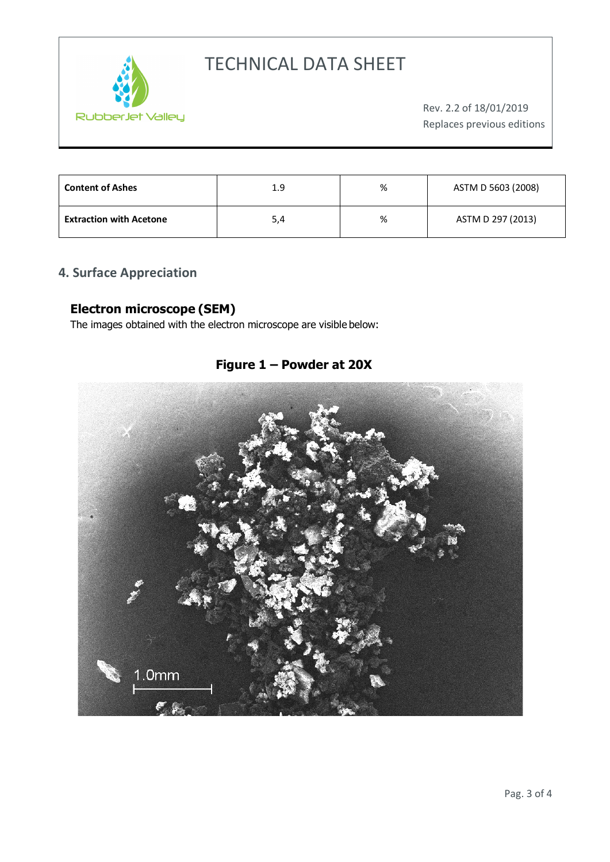

# TECHNICAL DATA SHEET

| <b>Content of Ashes</b>        | 1.9 | % | ASTM D 5603 (2008) |
|--------------------------------|-----|---|--------------------|
| <b>Extraction with Acetone</b> | 5,4 | % | ASTM D 297 (2013)  |

## **4. Surface Appreciation**

#### **Electron microscope (SEM)**

The images obtained with the electron microscope are visible below:

## **Figure 1 – Powder at 20X**